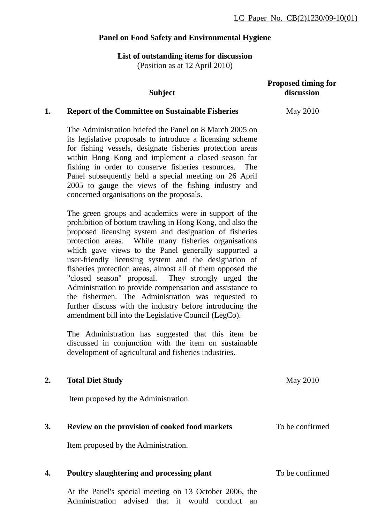## **Panel on Food Safety and Environmental Hygiene**

### **List of outstanding items for discussion** (Position as at 12 April 2010)

|    | <b>Subject</b>                                                                                                                                                                                                                                                                                                                                                                                                                                                                                                                                                                                                                                                                                                                                                      | <b>Proposed timing for</b><br>discussion |
|----|---------------------------------------------------------------------------------------------------------------------------------------------------------------------------------------------------------------------------------------------------------------------------------------------------------------------------------------------------------------------------------------------------------------------------------------------------------------------------------------------------------------------------------------------------------------------------------------------------------------------------------------------------------------------------------------------------------------------------------------------------------------------|------------------------------------------|
| 1. | <b>Report of the Committee on Sustainable Fisheries</b>                                                                                                                                                                                                                                                                                                                                                                                                                                                                                                                                                                                                                                                                                                             | May 2010                                 |
|    | The Administration briefed the Panel on 8 March 2005 on<br>its legislative proposals to introduce a licensing scheme<br>for fishing vessels, designate fisheries protection areas<br>within Hong Kong and implement a closed season for<br>fishing in order to conserve fisheries resources.<br>The<br>Panel subsequently held a special meeting on 26 April<br>2005 to gauge the views of the fishing industry and<br>concerned organisations on the proposals.                                                                                                                                                                                                                                                                                                    |                                          |
|    | The green groups and academics were in support of the<br>prohibition of bottom trawling in Hong Kong, and also the<br>proposed licensing system and designation of fisheries<br>protection areas. While many fisheries organisations<br>which gave views to the Panel generally supported a<br>user-friendly licensing system and the designation of<br>fisheries protection areas, almost all of them opposed the<br>"closed season" proposal. They strongly urged the<br>Administration to provide compensation and assistance to<br>the fishermen. The Administration was requested to<br>further discuss with the industry before introducing the<br>amendment bill into the Legislative Council (LegCo).<br>The Administration has suggested that this item be |                                          |
|    | discussed in conjunction with the item on sustainable<br>development of agricultural and fisheries industries.                                                                                                                                                                                                                                                                                                                                                                                                                                                                                                                                                                                                                                                      |                                          |
| 2. | <b>Total Diet Study</b>                                                                                                                                                                                                                                                                                                                                                                                                                                                                                                                                                                                                                                                                                                                                             | <b>May 2010</b>                          |
|    | Item proposed by the Administration.                                                                                                                                                                                                                                                                                                                                                                                                                                                                                                                                                                                                                                                                                                                                |                                          |
| 3. | Review on the provision of cooked food markets                                                                                                                                                                                                                                                                                                                                                                                                                                                                                                                                                                                                                                                                                                                      | To be confirmed                          |
|    | Item proposed by the Administration.                                                                                                                                                                                                                                                                                                                                                                                                                                                                                                                                                                                                                                                                                                                                |                                          |
| 4. | Poultry slaughtering and processing plant                                                                                                                                                                                                                                                                                                                                                                                                                                                                                                                                                                                                                                                                                                                           | To be confirmed                          |
|    | At the Panel's special meeting on 13 October 2006, the<br>Administration advised<br>would<br>that it<br>conduct<br>an                                                                                                                                                                                                                                                                                                                                                                                                                                                                                                                                                                                                                                               |                                          |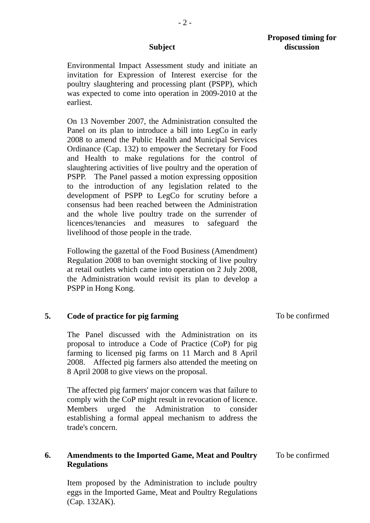- 2 -

Environmental Impact Assessment study and initiate an invitation for Expression of Interest exercise for the poultry slaughtering and processing plant (PSPP), which was expected to come into operation in 2009-2010 at the earliest.

On 13 November 2007, the Administration consulted the Panel on its plan to introduce a bill into LegCo in early 2008 to amend the Public Health and Municipal Services Ordinance (Cap. 132) to empower the Secretary for Food and Health to make regulations for the control of slaughtering activities of live poultry and the operation of PSPP. The Panel passed a motion expressing opposition to the introduction of any legislation related to the development of PSPP to LegCo for scrutiny before a consensus had been reached between the Administration and the whole live poultry trade on the surrender of licences/tenancies and measures to safeguard the livelihood of those people in the trade.

Following the gazettal of the Food Business (Amendment) Regulation 2008 to ban overnight stocking of live poultry at retail outlets which came into operation on 2 July 2008, the Administration would revisit its plan to develop a PSPP in Hong Kong.

### **5. Code of practice for pig farming**

The Panel discussed with the Administration on its proposal to introduce a Code of Practice (CoP) for pig farming to licensed pig farms on 11 March and 8 April 2008. Affected pig farmers also attended the meeting on 8 April 2008 to give views on the proposal.

The affected pig farmers' major concern was that failure to comply with the CoP might result in revocation of licence. Members urged the Administration to consider establishing a formal appeal mechanism to address the trade's concern.

#### **6. Amendments to the Imported Game, Meat and Poultry Regulations**

Item proposed by the Administration to include poultry eggs in the Imported Game, Meat and Poultry Regulations (Cap. 132AK).

To be confirmed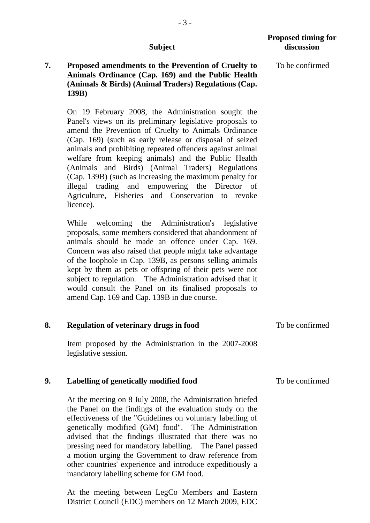### **7. Proposed amendments to the Prevention of Cruelty to Animals Ordinance (Cap. 169) and the Public Health (Animals & Birds) (Animal Traders) Regulations (Cap. 139B)**

On 19 February 2008, the Administration sought the Panel's views on its preliminary legislative proposals to amend the Prevention of Cruelty to Animals Ordinance (Cap. 169) (such as early release or disposal of seized animals and prohibiting repeated offenders against animal welfare from keeping animals) and the Public Health (Animals and Birds) (Animal Traders) Regulations (Cap. 139B) (such as increasing the maximum penalty for illegal trading and empowering the Director of Agriculture, Fisheries and Conservation to revoke licence).

While welcoming the Administration's legislative proposals, some members considered that abandonment of animals should be made an offence under Cap. 169. Concern was also raised that people might take advantage of the loophole in Cap. 139B, as persons selling animals kept by them as pets or offspring of their pets were not subject to regulation. The Administration advised that it would consult the Panel on its finalised proposals to amend Cap. 169 and Cap. 139B in due course.

|  | <b>Regulation of veterinary drugs in food</b>         | To be confirmed |
|--|-------------------------------------------------------|-----------------|
|  | Item represent by the Administration in the 2007-2009 |                 |

Item proposed by the Administration in the 2007-2008 legislative session.

#### **9. Labelling of genetically modified food**  To be confirmed

At the meeting on 8 July 2008, the Administration briefed the Panel on the findings of the evaluation study on the effectiveness of the "Guidelines on voluntary labelling of genetically modified (GM) food". The Administration advised that the findings illustrated that there was no pressing need for mandatory labelling. The Panel passed a motion urging the Government to draw reference from other countries' experience and introduce expeditiously a mandatory labelling scheme for GM food.

At the meeting between LegCo Members and Eastern District Council (EDC) members on 12 March 2009, EDC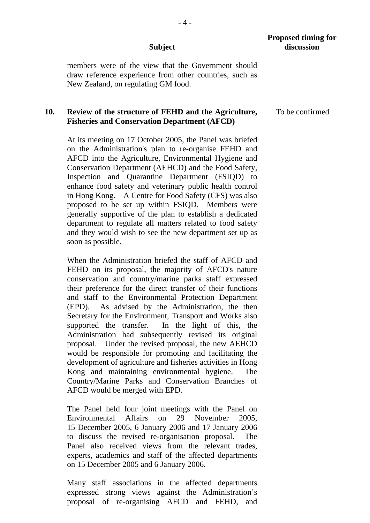members were of the view that the Government should draw reference experience from other countries, such as New Zealand, on regulating GM food.

#### **10. Review of the structure of FEHD and the Agriculture, Fisheries and Conservation Department (AFCD)**

At its meeting on 17 October 2005, the Panel was briefed on the Administration's plan to re-organise FEHD and AFCD into the Agriculture, Environmental Hygiene and Conservation Department (AEHCD) and the Food Safety, Inspection and Quarantine Department (FSIQD) to enhance food safety and veterinary public health control in Hong Kong. A Centre for Food Safety (CFS) was also proposed to be set up within FSIQD. Members were generally supportive of the plan to establish a dedicated department to regulate all matters related to food safety and they would wish to see the new department set up as soon as possible.

When the Administration briefed the staff of AFCD and FEHD on its proposal, the majority of AFCD's nature conservation and country/marine parks staff expressed their preference for the direct transfer of their functions and staff to the Environmental Protection Department (EPD). As advised by the Administration, the then Secretary for the Environment, Transport and Works also supported the transfer. In the light of this, the Administration had subsequently revised its original proposal. Under the revised proposal, the new AEHCD would be responsible for promoting and facilitating the development of agriculture and fisheries activities in Hong Kong and maintaining environmental hygiene. The Country/Marine Parks and Conservation Branches of AFCD would be merged with EPD.

The Panel held four joint meetings with the Panel on Environmental Affairs on 29 November 2005, 15 December 2005, 6 January 2006 and 17 January 2006 to discuss the revised re-organisation proposal. The Panel also received views from the relevant trades, experts, academics and staff of the affected departments on 15 December 2005 and 6 January 2006.

Many staff associations in the affected departments expressed strong views against the Administration's proposal of re-organising AFCD and FEHD, and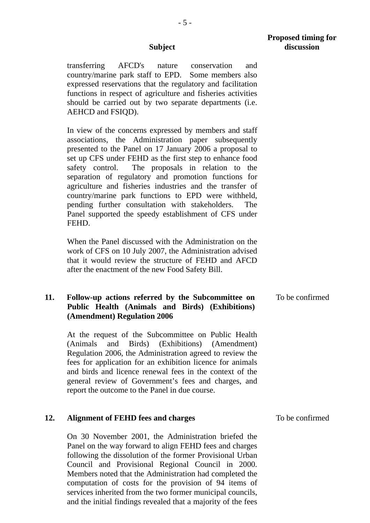transferring AFCD's nature conservation and country/marine park staff to EPD. Some members also expressed reservations that the regulatory and facilitation functions in respect of agriculture and fisheries activities should be carried out by two separate departments (i.e. AEHCD and FSIQD).

In view of the concerns expressed by members and staff associations, the Administration paper subsequently presented to the Panel on 17 January 2006 a proposal to set up CFS under FEHD as the first step to enhance food safety control. The proposals in relation to the separation of regulatory and promotion functions for agriculture and fisheries industries and the transfer of country/marine park functions to EPD were withheld, pending further consultation with stakeholders. The Panel supported the speedy establishment of CFS under FEHD.

When the Panel discussed with the Administration on the work of CFS on 10 July 2007, the Administration advised that it would review the structure of FEHD and AFCD after the enactment of the new Food Safety Bill.

#### **11. Follow-up actions referred by the Subcommittee on Public Health (Animals and Birds) (Exhibitions) (Amendment) Regulation 2006**  To be confirmed

At the request of the Subcommittee on Public Health (Animals and Birds) (Exhibitions) (Amendment) Regulation 2006, the Administration agreed to review the fees for application for an exhibition licence for animals and birds and licence renewal fees in the context of the general review of Government's fees and charges, and report the outcome to the Panel in due course.

#### **12. Alignment of FEHD fees and charges**

On 30 November 2001, the Administration briefed the Panel on the way forward to align FEHD fees and charges following the dissolution of the former Provisional Urban Council and Provisional Regional Council in 2000. Members noted that the Administration had completed the computation of costs for the provision of 94 items of services inherited from the two former municipal councils, and the initial findings revealed that a majority of the fees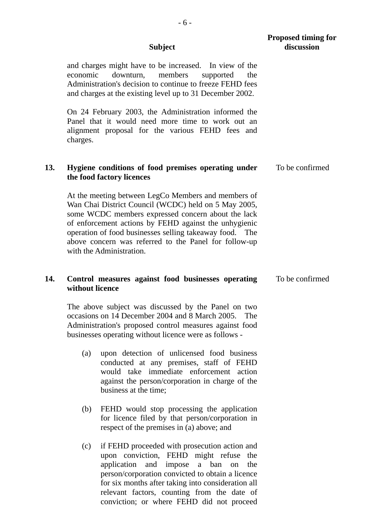|     |                 | <b>Proposed timing for</b><br>discussion                                                                                                                                                                                                                                                                                                                                   |                 |
|-----|-----------------|----------------------------------------------------------------------------------------------------------------------------------------------------------------------------------------------------------------------------------------------------------------------------------------------------------------------------------------------------------------------------|-----------------|
|     | economic        | and charges might have to be increased.<br>In view of the<br>members<br>downturn,<br>supported<br>the<br>Administration's decision to continue to freeze FEHD fees<br>and charges at the existing level up to 31 December 2002.                                                                                                                                            |                 |
|     | charges.        | On 24 February 2003, the Administration informed the<br>Panel that it would need more time to work out an<br>alignment proposal for the various FEHD fees and                                                                                                                                                                                                              |                 |
| 13. |                 | Hygiene conditions of food premises operating under<br>the food factory licences                                                                                                                                                                                                                                                                                           | To be confirmed |
|     |                 | At the meeting between LegCo Members and members of<br>Wan Chai District Council (WCDC) held on 5 May 2005,<br>some WCDC members expressed concern about the lack<br>of enforcement actions by FEHD against the unhygienic<br>operation of food businesses selling takeaway food. The<br>above concern was referred to the Panel for follow-up<br>with the Administration. |                 |
| 14. | without licence | Control measures against food businesses operating                                                                                                                                                                                                                                                                                                                         | To be confirmed |
|     |                 | The above subject was discussed by the Panel on two<br>occasions on 14 December 2004 and 8 March 2005. The<br>Administration's proposed control measures against food<br>businesses operating without licence were as follows -                                                                                                                                            |                 |
|     | (a)             | upon detection of unlicensed food business<br>conducted at any premises, staff of FEHD<br>would take immediate enforcement action<br>against the person/corporation in charge of the<br>business at the time;                                                                                                                                                              |                 |
|     | (b)             | FEHD would stop processing the application<br>for licence filed by that person/corporation in<br>respect of the premises in (a) above; and                                                                                                                                                                                                                                 |                 |
|     | (c)             | if FEHD proceeded with prosecution action and<br>upon conviction, FEHD might refuse<br>the<br>application and impose a ban<br>on<br>the<br>person/corporation convicted to obtain a licence<br>for six months after taking into consideration all<br>relevant factors, counting from the date of                                                                           |                 |

conviction; or where FEHD did not proceed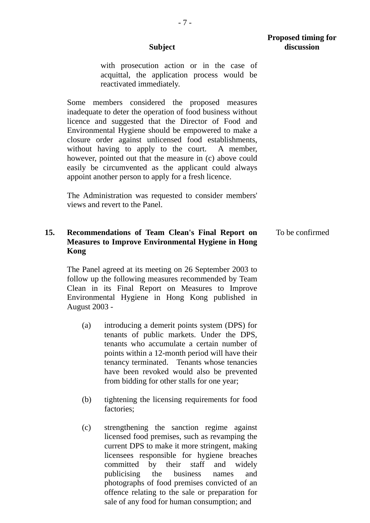with prosecution action or in the case of acquittal, the application process would be

reactivated immediately. Some members considered the proposed measures

inadequate to deter the operation of food business without licence and suggested that the Director of Food and Environmental Hygiene should be empowered to make a closure order against unlicensed food establishments, without having to apply to the court. A member, however, pointed out that the measure in (c) above could easily be circumvented as the applicant could always appoint another person to apply for a fresh licence.

 The Administration was requested to consider members' views and revert to the Panel.

#### **15. Recommendations of Team Clean's Final Report on Measures to Improve Environmental Hygiene in Hong Kong**  To be confirmed

 The Panel agreed at its meeting on 26 September 2003 to follow up the following measures recommended by Team Clean in its Final Report on Measures to Improve Environmental Hygiene in Hong Kong published in August 2003 -

- (a) introducing a demerit points system (DPS) for tenants of public markets. Under the DPS, tenants who accumulate a certain number of points within a 12-month period will have their tenancy terminated. Tenants whose tenancies have been revoked would also be prevented from bidding for other stalls for one year;
- (b) tightening the licensing requirements for food factories;
- (c) strengthening the sanction regime against licensed food premises, such as revamping the current DPS to make it more stringent, making licensees responsible for hygiene breaches committed by their staff and widely publicising the business names and photographs of food premises convicted of an offence relating to the sale or preparation for sale of any food for human consumption; and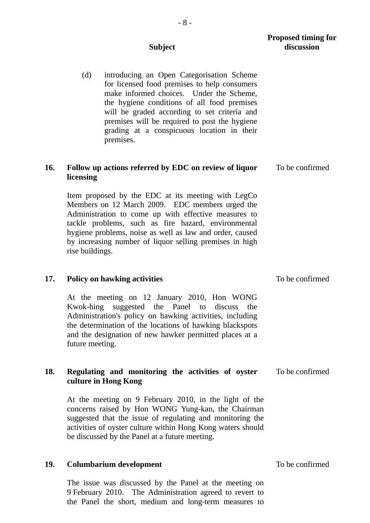# (d) introducing an Open Categorisation Scheme for licensed food premises to help consumers make informed choices. Under the Scheme, the hygiene conditions of all food premises will be graded according to set criteria and premises will be required to post the hygiene grading at a conspicuous location in their premises. **16. Follow up actions referred by EDC on review of liquor licensing**  Item proposed by the EDC at its meeting with LegCo Members on 12 March 2009. EDC members urged the Administration to come up with effective measures to tackle problems, such as fire hazard, environmental hygiene problems, noise as well as law and order, caused by increasing number of liquor selling premises in high rise buildings. To be confirmed **17. Policy on hawking activities**  At the meeting on 12 January 2010, Hon WONG Kwok-hing suggested the Panel to discuss the Administration's policy on hawking activities, including the determination of the locations of hawking blackspots and the designation of new hawker permitted places at a future meeting. To be confirmed **18. Regulating and monitoring the activities of oyster culture in Hong Kong**  To be confirmed At the meeting on 9 February 2010, in the light of the concerns raised by Hon WONG Yung-kan, the Chairman suggested that the issue of regulating and monitoring the

#### **19. Columbarium development**

 The issue was discussed by the Panel at the meeting on 9 February 2010. The Administration agreed to revert to the Panel the short, medium and long-term measures to

activities of oyster culture within Hong Kong waters should

be discussed by the Panel at a future meeting.

To be confirmed

**Subject** 

**Proposed timing for discussion**